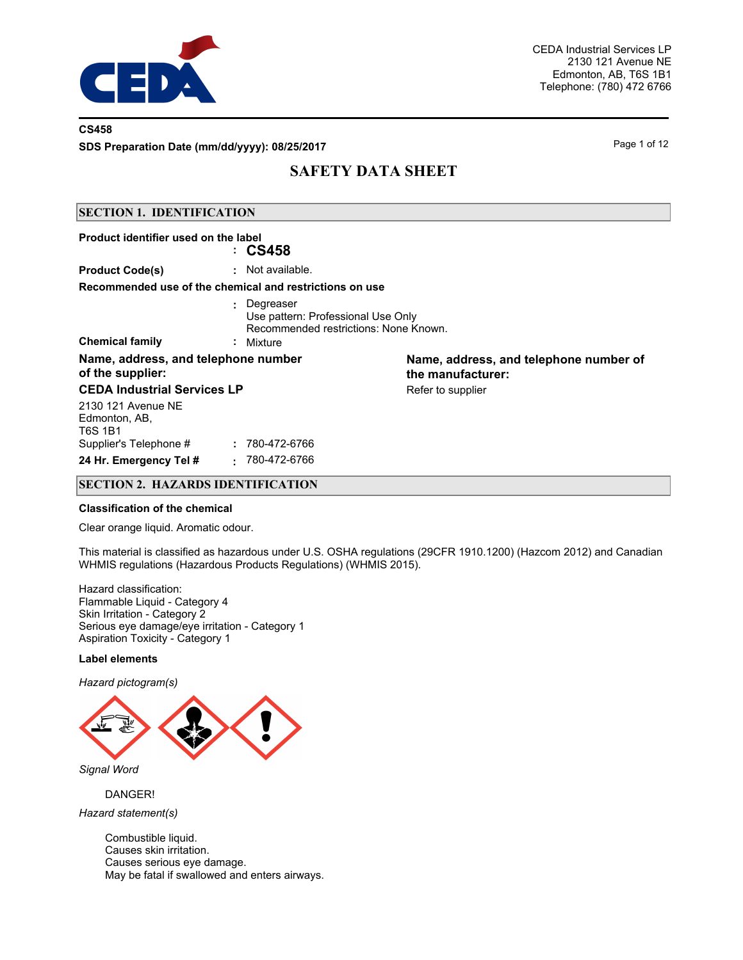

### **CS458**

**SDS Preparation Date (mm/dd/yyyy): 08/25/2017**

Page 1 of 12

## **SAFETY DATA SHEET**

### **SECTION 1. IDENTIFICATION**

| Product identifier used on the label                                                                                                  | : CS458                   |                                                             |
|---------------------------------------------------------------------------------------------------------------------------------------|---------------------------|-------------------------------------------------------------|
| <b>Product Code(s)</b>                                                                                                                | : Not available.          |                                                             |
| Recommended use of the chemical and restrictions on use                                                                               |                           |                                                             |
| Degreaser<br>÷.<br>Use pattern: Professional Use Only<br>Recommended restrictions: None Known.<br><b>Chemical family</b><br>: Mixture |                           |                                                             |
| Name, address, and telephone number<br>of the supplier:                                                                               |                           | Name, address, and telephone number of<br>the manufacturer: |
| <b>CEDA Industrial Services LP</b>                                                                                                    |                           | Refer to supplier                                           |
| 2130 121 Avenue NE<br>Edmonton, AB,<br>T6S 1B1                                                                                        |                           |                                                             |
| Supplier's Telephone #                                                                                                                | 780-472-6766              |                                                             |
| 24 Hr. Emergency Tel #                                                                                                                | 780-472-6766<br>$\bullet$ |                                                             |

## **SECTION 2. HAZARDS IDENTIFICATION**

#### **Classification of the chemical**

Clear orange liquid. Aromatic odour.

This material is classified as hazardous under U.S. OSHA regulations (29CFR 1910.1200) (Hazcom 2012) and Canadian WHMIS regulations (Hazardous Products Regulations) (WHMIS 2015).

Hazard classification: Flammable Liquid - Category 4 Skin Irritation - Category 2 Serious eye damage/eye irritation - Category 1 Aspiration Toxicity - Category 1

#### **Label elements**

*Hazard pictogram(s)*



*Signal Word*

DANGER!

*Hazard statement(s)*

Combustible liquid. Causes skin irritation. Causes serious eye damage. May be fatal if swallowed and enters airways.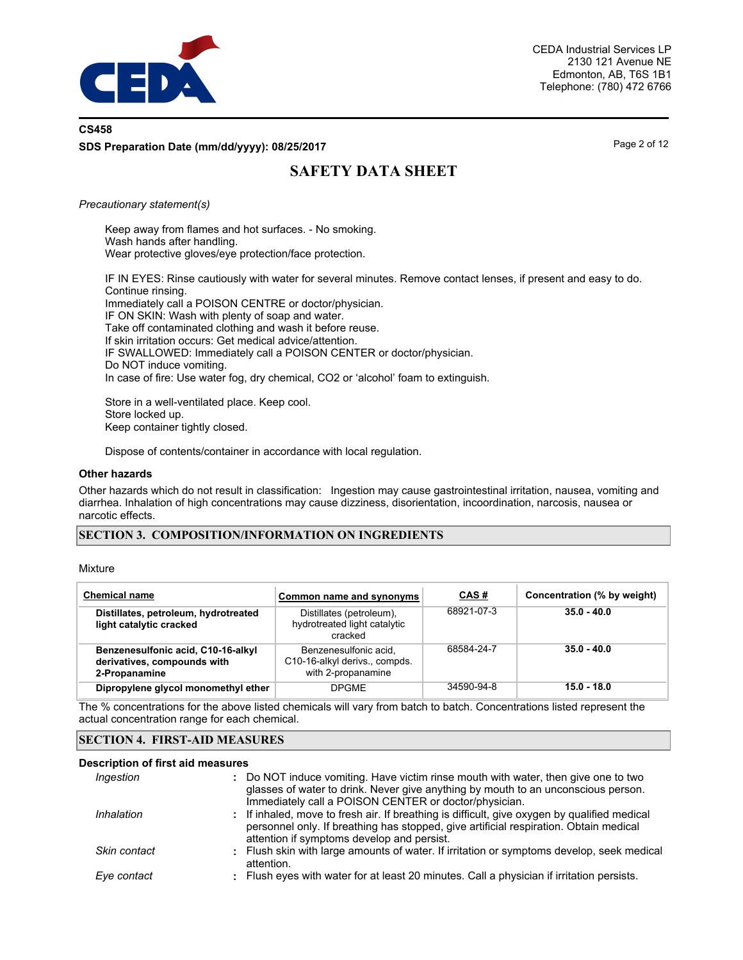

## **CS458 SDS Preparation Date (mm/dd/yyyy): 08/25/2017**

Page 2 of 12

## **SAFETY DATA SHEET**

#### *Precautionary statement(s)*

Keep away from flames and hot surfaces. - No smoking. Wash hands after handling. Wear protective gloves/eye protection/face protection.

IF IN EYES: Rinse cautiously with water for several minutes. Remove contact lenses, if present and easy to do. Continue rinsing. Immediately call a POISON CENTRE or doctor/physician. IF ON SKIN: Wash with plenty of soap and water. Take off contaminated clothing and wash it before reuse. If skin irritation occurs: Get medical advice/attention. IF SWALLOWED: Immediately call a POISON CENTER or doctor/physician.

Do NOT induce vomiting.

In case of fire: Use water fog, dry chemical, CO2 or 'alcohol' foam to extinguish.

Store in a well-ventilated place. Keep cool. Store locked up. Keep container tightly closed.

Dispose of contents/container in accordance with local regulation.

#### **Other hazards**

Other hazards which do not result in classification: Ingestion may cause gastrointestinal irritation, nausea, vomiting and diarrhea. Inhalation of high concentrations may cause dizziness, disorientation, incoordination, narcosis, nausea or narcotic effects.

#### **SECTION 3. COMPOSITION/INFORMATION ON INGREDIENTS**

#### Mixture

| <b>Chemical name</b>                                                               | Common name and synonyms                                                     | CAS#       | Concentration (% by weight) |
|------------------------------------------------------------------------------------|------------------------------------------------------------------------------|------------|-----------------------------|
| Distillates, petroleum, hydrotreated<br>light catalytic cracked                    | Distillates (petroleum),<br>hydrotreated light catalytic<br>cracked          | 68921-07-3 | $35.0 - 40.0$               |
| Benzenesulfonic acid, C10-16-alkyl<br>derivatives, compounds with<br>2-Propanamine | Benzenesulfonic acid.<br>C10-16-alkyl derivs., compds.<br>with 2-propanamine | 68584-24-7 | $35.0 - 40.0$               |
| Dipropylene glycol monomethyl ether                                                | <b>DPGME</b>                                                                 | 34590-94-8 | 15.0 - 18.0                 |

The % concentrations for the above listed chemicals will vary from batch to batch. Concentrations listed represent the actual concentration range for each chemical.

### **SECTION 4. FIRST-AID MEASURES**

#### **Description of first aid measures**

| Ingestion    | : Do NOT induce vomiting. Have victim rinse mouth with water, then give one to two<br>glasses of water to drink. Never give anything by mouth to an unconscious person.<br>Immediately call a POISON CENTER or doctor/physician.    |  |
|--------------|-------------------------------------------------------------------------------------------------------------------------------------------------------------------------------------------------------------------------------------|--|
| Inhalation   | : If inhaled, move to fresh air. If breathing is difficult, give oxygen by qualified medical<br>personnel only. If breathing has stopped, give artificial respiration. Obtain medical<br>attention if symptoms develop and persist. |  |
| Skin contact | : Flush skin with large amounts of water. If irritation or symptoms develop, seek medical<br>attention.                                                                                                                             |  |
| Eye contact  | : Flush eyes with water for at least 20 minutes. Call a physician if irritation persists.                                                                                                                                           |  |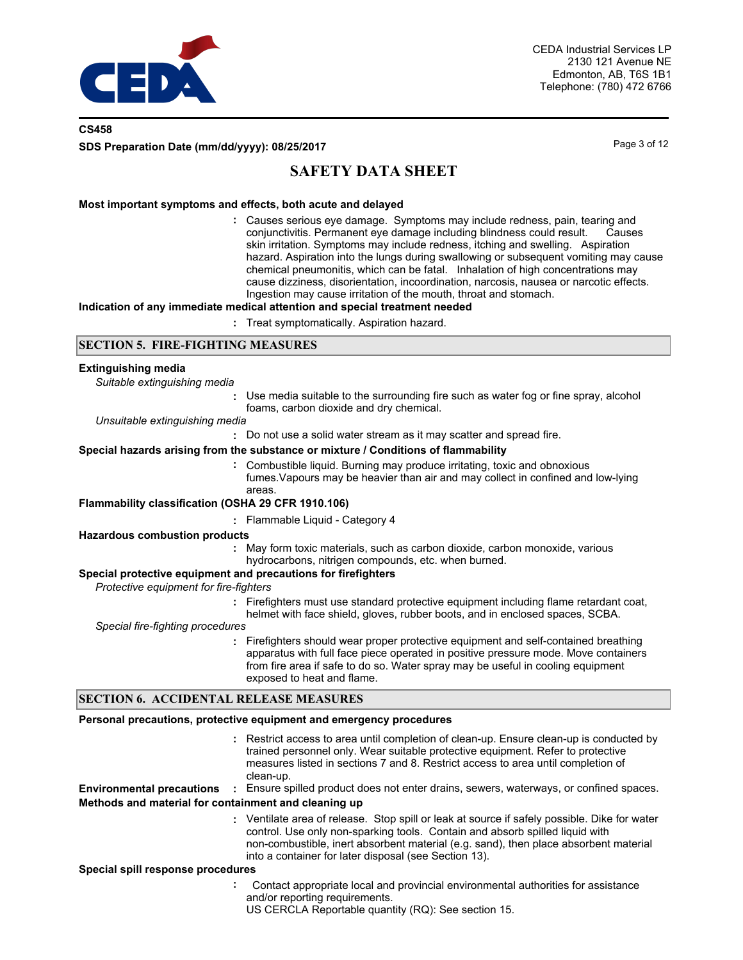

## **CS458 SDS Preparation Date (mm/dd/yyyy): 08/25/2017**

Page 3 of 12

## **SAFETY DATA SHEET**

### **Most important symptoms and effects, both acute and delayed**

Causes serious eye damage. Symptoms may include redness, pain, tearing and **:** conjunctivitis. Permanent eye damage including blindness could result. Causes skin irritation. Symptoms may include redness, itching and swelling. Aspiration hazard. Aspiration into the lungs during swallowing or subsequent vomiting may cause chemical pneumonitis, which can be fatal. Inhalation of high concentrations may cause dizziness, disorientation, incoordination, narcosis, nausea or narcotic effects. Ingestion may cause irritation of the mouth, throat and stomach.

#### **Indication of any immediate medical attention and special treatment needed**

**:** Treat symptomatically. Aspiration hazard.

#### **SECTION 5. FIRE-FIGHTING MEASURES**

#### **Extinguishing media**

*Suitable extinguishing media*

**:** Use media suitable to the surrounding fire such as water fog or fine spray, alcohol foams, carbon dioxide and dry chemical.

#### *Unsuitable extinguishing media*

**:** Do not use a solid water stream as it may scatter and spread fire.

#### **Special hazards arising from the substance or mixture / Conditions of flammability**

Combustible liquid. Burning may produce irritating, toxic and obnoxious **:** fumes.Vapours may be heavier than air and may collect in confined and low-lying areas.

#### **Flammability classification (OSHA 29 CFR 1910.106)**

**:** Flammable Liquid - Category 4

#### **Hazardous combustion products**

May form toxic materials, such as carbon dioxide, carbon monoxide, various **:** hydrocarbons, nitrigen compounds, etc. when burned.

#### **Special protective equipment and precautions for firefighters**

*Protective equipment for fire-fighters*

**:** Firefighters must use standard protective equipment including flame retardant coat, helmet with face shield, gloves, rubber boots, and in enclosed spaces, SCBA.

*Special fire-fighting procedures*

**:** Firefighters should wear proper protective equipment and self-contained breathing apparatus with full face piece operated in positive pressure mode. Move containers from fire area if safe to do so. Water spray may be useful in cooling equipment exposed to heat and flame.

## **SECTION 6. ACCIDENTAL RELEASE MEASURES**

#### **Personal precautions, protective equipment and emergency procedures**

- Restrict access to area until completion of clean-up. Ensure clean-up is conducted by **:** trained personnel only. Wear suitable protective equipment. Refer to protective measures listed in sections 7 and 8. Restrict access to area until completion of clean-up. **Environmental precautions :** Ensure spilled product does not enter drains, sewers, waterways, or confined spaces. Ventilate area of release. Stop spill or leak at source if safely possible. Dike for water **:** control. Use only non-sparking tools. Contain and absorb spilled liquid with non-combustible, inert absorbent material (e.g. sand), then place absorbent material into a container for later disposal (see Section 13). **Methods and material for containment and cleaning up Special spill response procedures :** Contact appropriate local and provincial environmental authorities for assistance and/or reporting requirements.
	- US CERCLA Reportable quantity (RQ): See section 15.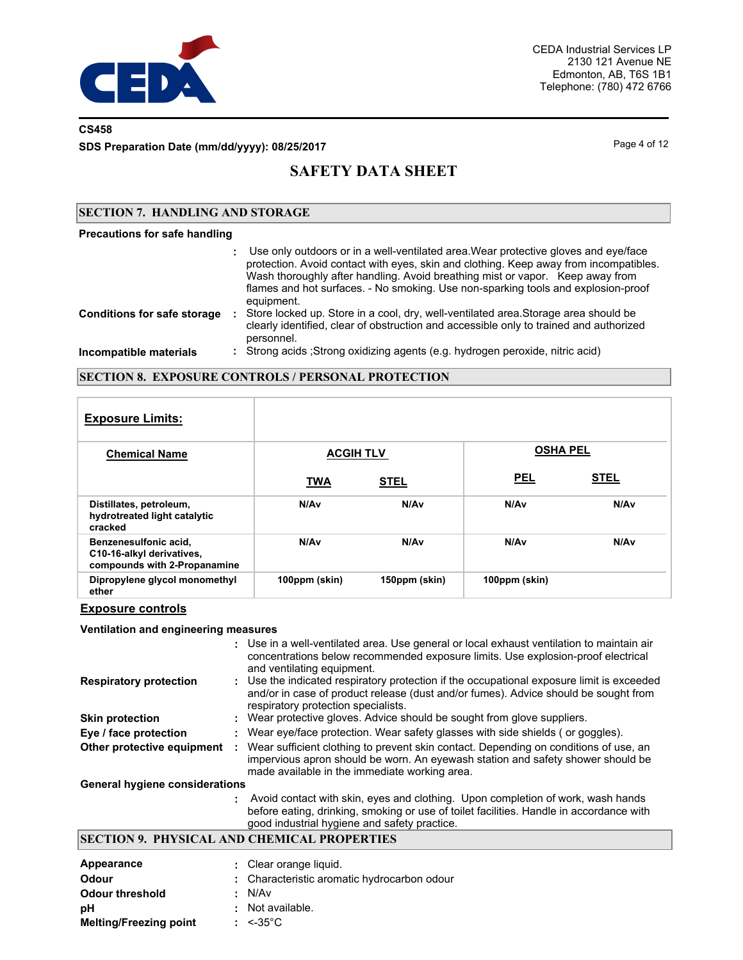

## **CS458**

**SDS Preparation Date (mm/dd/yyyy): 08/25/2017**

Page 4 of 12

## **SAFETY DATA SHEET**

### **SECTION 7. HANDLING AND STORAGE**

#### **Precautions for safe handling**

|                                    | : Use only outdoors or in a well-ventilated area. Wear protective gloves and eye/face<br>protection. Avoid contact with eyes, skin and clothing. Keep away from incompatibles.<br>Wash thoroughly after handling. Avoid breathing mist or vapor. Keep away from<br>flames and hot surfaces. - No smoking. Use non-sparking tools and explosion-proof<br>equipment. |
|------------------------------------|--------------------------------------------------------------------------------------------------------------------------------------------------------------------------------------------------------------------------------------------------------------------------------------------------------------------------------------------------------------------|
| <b>Conditions for safe storage</b> | Store locked up. Store in a cool, dry, well-ventilated area. Storage area should be<br>clearly identified, clear of obstruction and accessible only to trained and authorized<br>personnel.                                                                                                                                                                        |
| Incompatible materials             | : Strong acids ; Strong oxidizing agents (e.g. hydrogen peroxide, nitric acid)                                                                                                                                                                                                                                                                                     |

### **SECTION 8. EXPOSURE CONTROLS / PERSONAL PROTECTION**

| <b>Exposure Limits:</b>                                                            |                  |                  |                 |             |
|------------------------------------------------------------------------------------|------------------|------------------|-----------------|-------------|
| <b>Chemical Name</b>                                                               | <b>ACGIH TLV</b> |                  | <b>OSHA PEL</b> |             |
|                                                                                    | <b>TWA</b>       | <b>STEL</b>      | <b>PEL</b>      | <b>STEL</b> |
| Distillates, petroleum,<br>hydrotreated light catalytic<br>cracked                 | N/Av             | N/A <sub>v</sub> | N/Av            | N/Av        |
| Benzenesulfonic acid,<br>C10-16-alkyl derivatives,<br>compounds with 2-Propanamine | N/A <sub>v</sub> | N/A <sub>v</sub> | N/Av            | N/Av        |
| Dipropylene glycol monomethyl<br>ether                                             | 100ppm (skin)    | 150ppm (skin)    | 100ppm (skin)   |             |

## **Exposure controls**

#### **Ventilation and engineering measures**

|                                       |   | : Use in a well-ventilated area. Use general or local exhaust ventilation to maintain air<br>concentrations below recommended exposure limits. Use explosion-proof electrical<br>and ventilating equipment.                |
|---------------------------------------|---|----------------------------------------------------------------------------------------------------------------------------------------------------------------------------------------------------------------------------|
| <b>Respiratory protection</b>         |   | : Use the indicated respiratory protection if the occupational exposure limit is exceeded<br>and/or in case of product release (dust and/or fumes). Advice should be sought from<br>respiratory protection specialists.    |
| <b>Skin protection</b>                |   | : Wear protective gloves. Advice should be sought from glove suppliers.                                                                                                                                                    |
| Eye / face protection                 |   | : Wear eye/face protection. Wear safety glasses with side shields (or goggles).                                                                                                                                            |
| Other protective equipment            | ÷ | Wear sufficient clothing to prevent skin contact. Depending on conditions of use, an<br>impervious apron should be worn. An eyewash station and safety shower should be<br>made available in the immediate working area.   |
| <b>General hygiene considerations</b> |   |                                                                                                                                                                                                                            |
|                                       |   | Avoid contact with skin, eyes and clothing. Upon completion of work, wash hands<br>before eating, drinking, smoking or use of toilet facilities. Handle in accordance with<br>good industrial hygiene and safety practice. |

## **SECTION 9. PHYSICAL AND CHEMICAL PROPERTIES**

| Appearance                    | : Clear orange liquid.                      |
|-------------------------------|---------------------------------------------|
| <b>Odour</b>                  | : Characteristic aromatic hydrocarbon odour |
| <b>Odour threshold</b>        | : N/Av                                      |
| рH                            | $:$ Not available.                          |
| <b>Melting/Freezing point</b> | $: < 35^{\circ}$ C                          |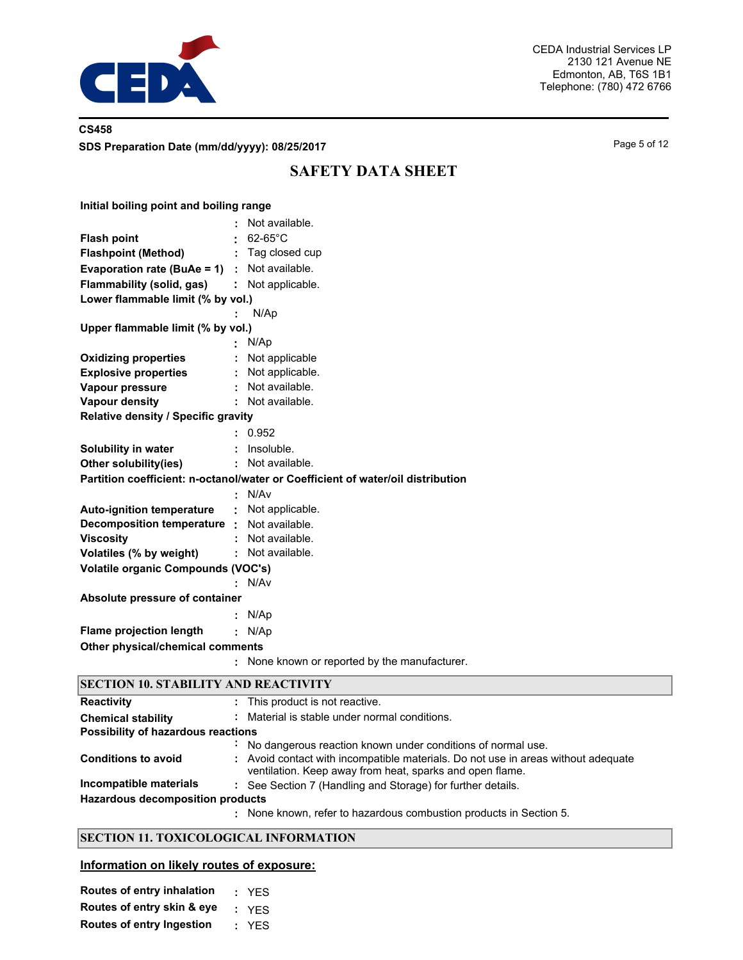

## **CS458 SDS Preparation Date (mm/dd/yyyy): 08/25/2017**

Page 5 of 12

## **SAFETY DATA SHEET**

| Initial boiling point and boiling range         |                                                                                 |
|-------------------------------------------------|---------------------------------------------------------------------------------|
|                                                 | Not available.                                                                  |
| <b>Flash point</b>                              | $62-65^{\circ}$ C                                                               |
| <b>Flashpoint (Method)</b>                      | : Tag closed cup                                                                |
| Evaporation rate (BuAe = $1$ ) : Not available. |                                                                                 |
| Flammability (solid, gas)                       | : Not applicable.                                                               |
| Lower flammable limit (% by vol.)               |                                                                                 |
|                                                 | N/Ap                                                                            |
| Upper flammable limit (% by vol.)               |                                                                                 |
|                                                 | N/Ap                                                                            |
| <b>Oxidizing properties</b>                     | Not applicable                                                                  |
| <b>Explosive properties</b>                     | : Not applicable.                                                               |
| Vapour pressure                                 | : Not available.                                                                |
| <b>Vapour density</b>                           | Not available.                                                                  |
| Relative density / Specific gravity             |                                                                                 |
|                                                 | 0.952                                                                           |
| Solubility in water                             | Insoluble.                                                                      |
| Other solubility(ies)                           | : Not available.                                                                |
|                                                 | Partition coefficient: n-octanol/water or Coefficient of water/oil distribution |
|                                                 | N/Av                                                                            |
| <b>Auto-ignition temperature</b>                | : Not applicable.                                                               |
| Decomposition temperature : Not available.      |                                                                                 |
| <b>Viscosity</b>                                | Not available.                                                                  |
| Volatiles (% by weight)                         | Not available.                                                                  |
| <b>Volatile organic Compounds (VOC's)</b>       |                                                                                 |
|                                                 | N/Av                                                                            |
| Absolute pressure of container                  |                                                                                 |
|                                                 | N/Ap                                                                            |
| <b>Flame projection length</b>                  | N/Ap<br>÷                                                                       |
| Other physical/chemical comments                |                                                                                 |
|                                                 | None known or reported by the manufacturer.                                     |
| <b>SECTION 10 STARILITY AND REACTIVITY</b>      |                                                                                 |

| <b>Reactivity</b>                       | ÷. | This product is not reactive.                                                                                                                 |  |
|-----------------------------------------|----|-----------------------------------------------------------------------------------------------------------------------------------------------|--|
| <b>Chemical stability</b>               |    | Material is stable under normal conditions.                                                                                                   |  |
| Possibility of hazardous reactions      |    |                                                                                                                                               |  |
|                                         |    | No dangerous reaction known under conditions of normal use.                                                                                   |  |
| <b>Conditions to avoid</b>              |    | : Avoid contact with incompatible materials. Do not use in areas without adequate<br>ventilation. Keep away from heat, sparks and open flame. |  |
| Incompatible materials                  |    | : See Section 7 (Handling and Storage) for further details.                                                                                   |  |
| <b>Hazardous decomposition products</b> |    |                                                                                                                                               |  |
|                                         |    | : None known, refer to hazardous combustion products in Section 5.                                                                            |  |

## **SECTION 11. TOXICOLOGICAL INFORMATION**

## **Information on likely routes of exposure:**

| Routes of entry inhalation       | : YES |
|----------------------------------|-------|
| Routes of entry skin & eye       | : YFS |
| <b>Routes of entry Ingestion</b> | : YES |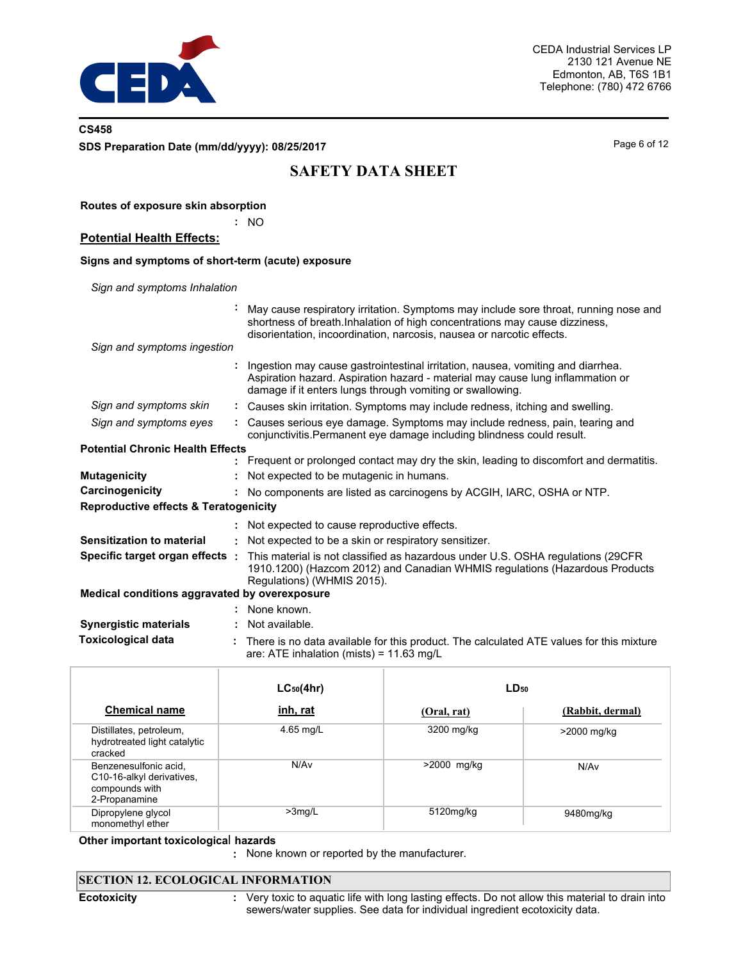

## **CS458 SDS Preparation Date (mm/dd/yyyy): 08/25/2017**

**Routes of exposure skin absorption**

Page 6 of 12

# **SAFETY DATA SHEET**

|                                                   | ÷<br><b>NO</b>                                                                                                                                                                                                                              |
|---------------------------------------------------|---------------------------------------------------------------------------------------------------------------------------------------------------------------------------------------------------------------------------------------------|
| <b>Potential Health Effects:</b>                  |                                                                                                                                                                                                                                             |
| Signs and symptoms of short-term (acute) exposure |                                                                                                                                                                                                                                             |
| Sign and symptoms Inhalation                      |                                                                                                                                                                                                                                             |
|                                                   | May cause respiratory irritation. Symptoms may include sore throat, running nose and<br>shortness of breath.Inhalation of high concentrations may cause dizziness,<br>disorientation, incoordination, narcosis, nausea or narcotic effects. |
| Sign and symptoms ingestion                       |                                                                                                                                                                                                                                             |
|                                                   | Ingestion may cause gastrointestinal irritation, nausea, vomiting and diarrhea.<br>Aspiration hazard. Aspiration hazard - material may cause lung inflammation or<br>damage if it enters lungs through vomiting or swallowing.              |
| Sign and symptoms skin                            | : Causes skin irritation. Symptoms may include redness, itching and swelling.                                                                                                                                                               |
| Sign and symptoms eyes                            | : Causes serious eye damage. Symptoms may include redness, pain, tearing and<br>conjunctivitis. Permanent eye damage including blindness could result.                                                                                      |
| <b>Potential Chronic Health Effects</b>           |                                                                                                                                                                                                                                             |
|                                                   | : Frequent or prolonged contact may dry the skin, leading to discomfort and dermatitis.                                                                                                                                                     |
| <b>Mutagenicity</b>                               | Not expected to be mutagenic in humans.                                                                                                                                                                                                     |
| Carcinogenicity                                   | No components are listed as carcinogens by ACGIH, IARC, OSHA or NTP.                                                                                                                                                                        |
| <b>Reproductive effects &amp; Teratogenicity</b>  |                                                                                                                                                                                                                                             |
|                                                   | : Not expected to cause reproductive effects.                                                                                                                                                                                               |
| <b>Sensitization to material</b>                  | Not expected to be a skin or respiratory sensitizer.<br>÷.                                                                                                                                                                                  |
| Specific target organ effects :                   | This material is not classified as hazardous under U.S. OSHA regulations (29CFR<br>1910.1200) (Hazcom 2012) and Canadian WHMIS regulations (Hazardous Products<br>Regulations) (WHMIS 2015).                                                |
| Medical conditions aggravated by overexposure     |                                                                                                                                                                                                                                             |
|                                                   | : None known.                                                                                                                                                                                                                               |
| <b>Synergistic materials</b>                      | Not available.                                                                                                                                                                                                                              |
| <b>Toxicological data</b>                         | There is no data available for this product. The calculated ATE values for this mixture<br>are: ATE inhalation (mists) = $11.63$ mg/L                                                                                                       |

|                                                                                       | $LC_{50}(4hr)$  | $LD_{50}$   |                  |
|---------------------------------------------------------------------------------------|-----------------|-------------|------------------|
| <b>Chemical name</b>                                                                  | <u>inh, rat</u> | (Oral, rat) | (Rabbit, dermal) |
| Distillates, petroleum,<br>hydrotreated light catalytic<br>cracked                    | 4.65 mg/L       | 3200 mg/kg  | >2000 mg/kg      |
| Benzenesulfonic acid,<br>C10-16-alkyl derivatives,<br>compounds with<br>2-Propanamine | N/Av            | >2000 mg/kg | N/Av             |
| Dipropylene glycol<br>monomethyl ether                                                | $>3$ mg/L       | 5120mg/kg   | 9480mg/kg        |

### **Other important toxicologica**l **hazards**

**:** None known or reported by the manufacturer.

## **SECTION 12. ECOLOGICAL INFORMATION**

**Ecotoxicity :**

Very toxic to aquatic life with long lasting effects. Do not allow this material to drain into sewers/water supplies. See data for individual ingredient ecotoxicity data.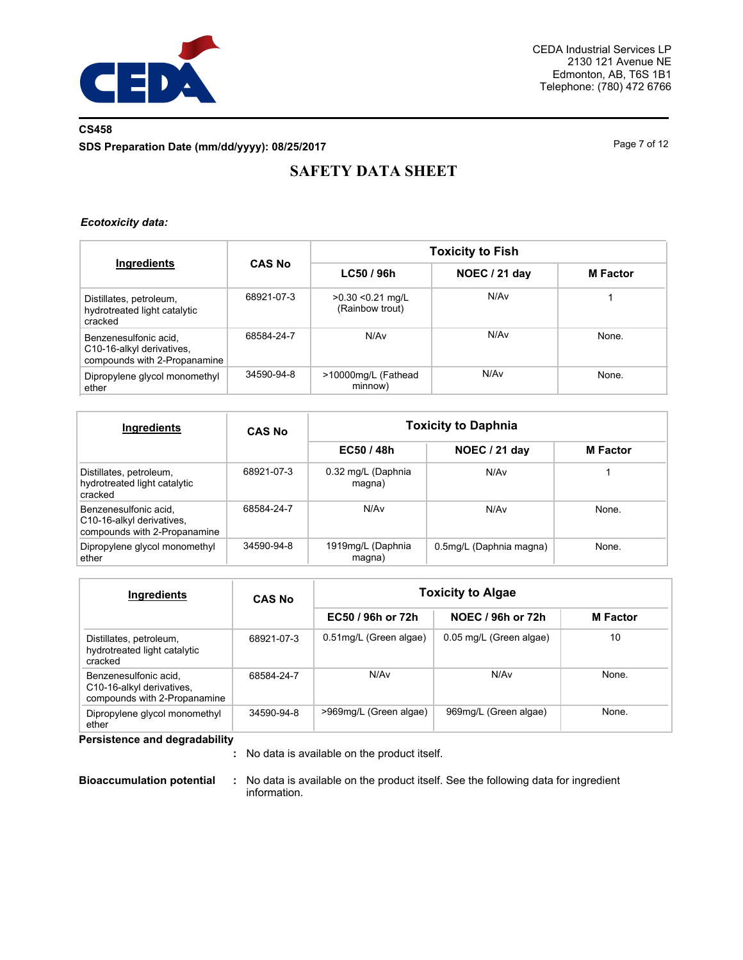

## **CS458 SDS Preparation Date (mm/dd/yyyy): 08/25/2017**

Page 7 of 12

# **SAFETY DATA SHEET**

### *Ecotoxicity data:*

| Ingredients                                                                        |               | <b>Toxicity to Fish</b>                |                  |                 |  |  |  |
|------------------------------------------------------------------------------------|---------------|----------------------------------------|------------------|-----------------|--|--|--|
|                                                                                    | <b>CAS No</b> | LC50 / 96h                             | NOEC / 21 day    | <b>M</b> Factor |  |  |  |
| Distillates, petroleum,<br>hydrotreated light catalytic<br>cracked                 | 68921-07-3    | $>0.30$ < 0.21 mg/L<br>(Rainbow trout) | N/Av             |                 |  |  |  |
| Benzenesulfonic acid.<br>C10-16-alkyl derivatives,<br>compounds with 2-Propanamine | 68584-24-7    | N/A <sub>v</sub>                       | N/A <sub>v</sub> | None.           |  |  |  |
| Dipropylene glycol monomethyl<br>ether                                             | 34590-94-8    | >10000mg/L (Fathead<br>minnow)         | N/Av             | None.           |  |  |  |

| Ingredients                                                                        | <b>CAS No</b> | <b>Toxicity to Daphnia</b>   |                         |                 |  |  |
|------------------------------------------------------------------------------------|---------------|------------------------------|-------------------------|-----------------|--|--|
|                                                                                    |               | EC50/48h                     | NOEC / 21 day           | <b>M</b> Factor |  |  |
| Distillates, petroleum,<br>hydrotreated light catalytic<br>cracked                 | 68921-07-3    | 0.32 mg/L (Daphnia<br>magna) | N/Av                    |                 |  |  |
| Benzenesulfonic acid,<br>C10-16-alkyl derivatives,<br>compounds with 2-Propanamine | 68584-24-7    | N/Av                         | N/Av                    | None.           |  |  |
| Dipropylene glycol monomethyl<br>ether                                             | 34590-94-8    | 1919mg/L (Daphnia<br>magna)  | 0.5mg/L (Daphnia magna) | None.           |  |  |

| Ingredients                                                                        | <b>CAS No</b> | <b>Toxicity to Algae</b> |                         |                 |  |  |
|------------------------------------------------------------------------------------|---------------|--------------------------|-------------------------|-----------------|--|--|
|                                                                                    |               | EC50 / 96h or 72h        | NOEC / 96h or 72h       | <b>M</b> Factor |  |  |
| Distillates, petroleum,<br>hydrotreated light catalytic<br>cracked                 | 68921-07-3    | 0.51mg/L (Green algae)   | 0.05 mg/L (Green algae) | 10              |  |  |
| Benzenesulfonic acid.<br>C10-16-alkyl derivatives,<br>compounds with 2-Propanamine | 68584-24-7    | N/Av                     | N/A <sub>v</sub>        | None.           |  |  |
| Dipropylene glycol monomethyl<br>ether                                             | 34590-94-8    | >969mg/L (Green algae)   | 969mg/L (Green algae)   | None.           |  |  |

**Persistence and degradability**

No data is available on the product itself. **:**

**Bioaccumulation potential :** No data is available on the product itself. See the following data for ingredient information.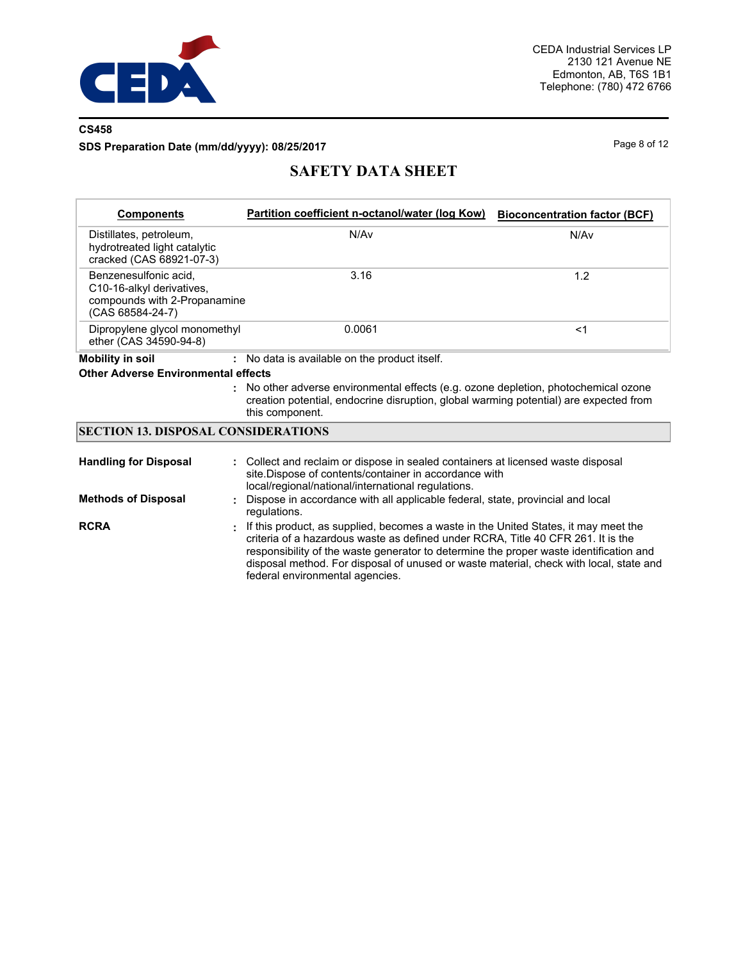

## **CS458**

## **SDS Preparation Date (mm/dd/yyyy): 08/25/2017**

Page 8 of 12

# **SAFETY DATA SHEET**

| <b>Components</b>                                                                                      | Partition coefficient n-octanol/water (log Kow)                                                                                                                                                 | <b>Bioconcentration factor (BCF)</b> |
|--------------------------------------------------------------------------------------------------------|-------------------------------------------------------------------------------------------------------------------------------------------------------------------------------------------------|--------------------------------------|
| Distillates, petroleum,<br>hydrotreated light catalytic<br>cracked (CAS 68921-07-3)                    | N/A <sub>v</sub>                                                                                                                                                                                | N/A <sub>v</sub>                     |
| Benzenesulfonic acid.<br>C10-16-alkyl derivatives,<br>compounds with 2-Propanamine<br>(CAS 68584-24-7) | 3.16                                                                                                                                                                                            | 1.2                                  |
| Dipropylene glycol monomethyl<br>ether (CAS 34590-94-8)                                                | 0.0061                                                                                                                                                                                          | $<$ 1                                |
| <b>Mobility in soil</b>                                                                                | : No data is available on the product itself.                                                                                                                                                   |                                      |
| <b>Other Adverse Environmental effects</b>                                                             |                                                                                                                                                                                                 |                                      |
|                                                                                                        | : No other adverse environmental effects (e.g. ozone depletion, photochemical ozone<br>creation potential, endocrine disruption, global warming potential) are expected from<br>this component. |                                      |

## **SECTION 13. DISPOSAL CONSIDERATIONS**

| <b>Handling for Disposal</b> | : Collect and reclaim or dispose in sealed containers at licensed waste disposal<br>site. Dispose of contents/container in accordance with<br>local/regional/national/international regulations.                                                                                                                                                                                                 |
|------------------------------|--------------------------------------------------------------------------------------------------------------------------------------------------------------------------------------------------------------------------------------------------------------------------------------------------------------------------------------------------------------------------------------------------|
| <b>Methods of Disposal</b>   | : Dispose in accordance with all applicable federal, state, provincial and local<br>regulations.                                                                                                                                                                                                                                                                                                 |
| <b>RCRA</b>                  | : If this product, as supplied, becomes a waste in the United States, it may meet the<br>criteria of a hazardous waste as defined under RCRA, Title 40 CFR 261. It is the<br>responsibility of the waste generator to determine the proper waste identification and<br>disposal method. For disposal of unused or waste material, check with local, state and<br>federal environmental agencies. |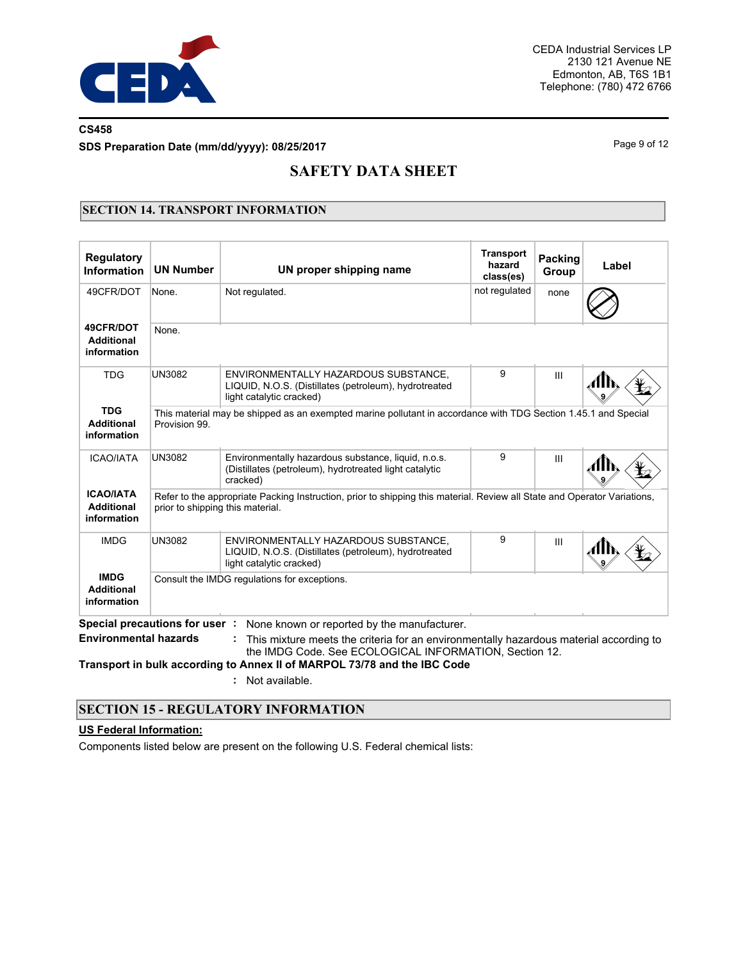

## **CS458**

**SDS Preparation Date (mm/dd/yyyy): 08/25/2017**

Page 9 of 12

## **SAFETY DATA SHEET**

## **SECTION 14. TRANSPORT INFORMATION**

| None.<br>None.<br><b>UN3082</b> | Not regulated.<br>ENVIRONMENTALLY HAZARDOUS SUBSTANCE.                                                                    | not regulated                                                                                                                                                                                 | none           |                                                                                                                                                                                                                                                                                                                                                                                                |
|---------------------------------|---------------------------------------------------------------------------------------------------------------------------|-----------------------------------------------------------------------------------------------------------------------------------------------------------------------------------------------|----------------|------------------------------------------------------------------------------------------------------------------------------------------------------------------------------------------------------------------------------------------------------------------------------------------------------------------------------------------------------------------------------------------------|
|                                 |                                                                                                                           |                                                                                                                                                                                               |                |                                                                                                                                                                                                                                                                                                                                                                                                |
|                                 |                                                                                                                           |                                                                                                                                                                                               |                |                                                                                                                                                                                                                                                                                                                                                                                                |
|                                 | LIQUID, N.O.S. (Distillates (petroleum), hydrotreated<br>light catalytic cracked)                                         | 9                                                                                                                                                                                             | $\mathbf{III}$ |                                                                                                                                                                                                                                                                                                                                                                                                |
| Provision 99.                   |                                                                                                                           |                                                                                                                                                                                               |                |                                                                                                                                                                                                                                                                                                                                                                                                |
| <b>UN3082</b>                   | Environmentally hazardous substance, liquid, n.o.s.<br>(Distillates (petroleum), hydrotreated light catalytic<br>cracked) | 9                                                                                                                                                                                             | $\mathbf{III}$ |                                                                                                                                                                                                                                                                                                                                                                                                |
|                                 |                                                                                                                           |                                                                                                                                                                                               |                |                                                                                                                                                                                                                                                                                                                                                                                                |
| <b>UN3082</b>                   | ENVIRONMENTALLY HAZARDOUS SUBSTANCE.<br>LIQUID, N.O.S. (Distillates (petroleum), hydrotreated<br>light catalytic cracked) | 9                                                                                                                                                                                             | III            |                                                                                                                                                                                                                                                                                                                                                                                                |
|                                 |                                                                                                                           |                                                                                                                                                                                               |                |                                                                                                                                                                                                                                                                                                                                                                                                |
| <b>Environmental hazards</b>    | None known or reported by the manufacturer.                                                                               |                                                                                                                                                                                               |                |                                                                                                                                                                                                                                                                                                                                                                                                |
|                                 |                                                                                                                           | prior to shipping this material.<br>Consult the IMDG regulations for exceptions.<br>Special precautions for user:<br>Transport in bulk according to Annex II of MARPOL 73/78 and the IBC Code |                | This material may be shipped as an exempted marine pollutant in accordance with TDG Section 1.45.1 and Special<br>Refer to the appropriate Packing Instruction, prior to shipping this material. Review all State and Operator Variations,<br>This mixture meets the criteria for an environmentally hazardous material according to<br>the IMDG Code, See ECOLOGICAL INFORMATION, Section 12. |

**:** Not available.

## **SECTION 15 - REGULATORY INFORMATION**

#### **US Federal Information:**

Components listed below are present on the following U.S. Federal chemical lists: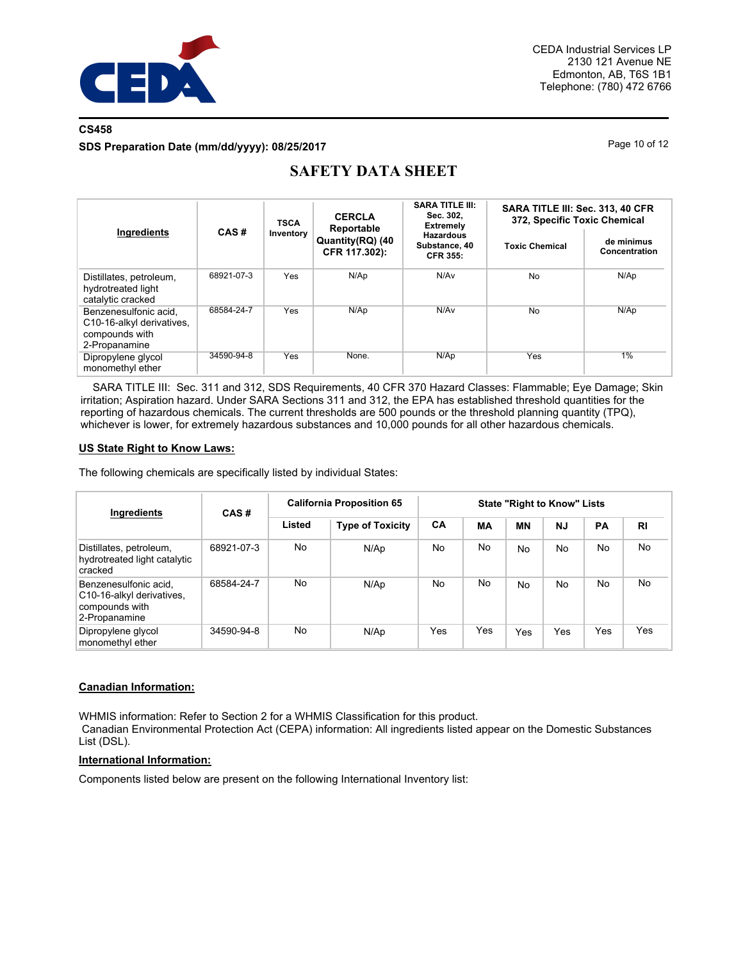

## **CS458**

**SDS Preparation Date (mm/dd/yyyy): 08/25/2017**

Page 10 of 12

| Ingredients                                                                           | CAS#       | <b>TSCA</b> | <b>CERCLA</b><br>Reportable       | <b>SARA TITLE III:</b><br>Sec. 302.<br><b>Extremely</b> | SARA TITLE III: Sec. 313, 40 CFR<br>372, Specific Toxic Chemical |                             |  |
|---------------------------------------------------------------------------------------|------------|-------------|-----------------------------------|---------------------------------------------------------|------------------------------------------------------------------|-----------------------------|--|
|                                                                                       |            | Inventory   | Quantity(RQ) (40<br>CFR 117.302): | <b>Hazardous</b><br>Substance, 40<br><b>CFR 355:</b>    | <b>Toxic Chemical</b>                                            | de minimus<br>Concentration |  |
| Distillates, petroleum,<br>hydrotreated light<br>catalytic cracked                    | 68921-07-3 | Yes         | N/Ap                              | N/Av                                                    | <b>No</b>                                                        | N/Ap                        |  |
| Benzenesulfonic acid,<br>C10-16-alkyl derivatives.<br>compounds with<br>2-Propanamine | 68584-24-7 | Yes         | N/Ap                              | N/Av                                                    | <b>No</b>                                                        | N/Ap                        |  |
| Dipropylene glycol<br>monomethyl ether                                                | 34590-94-8 | Yes         | None.                             | N/Ap                                                    | Yes                                                              | 1%                          |  |

## **SAFETY DATA SHEET**

SARA TITLE III: Sec. 311 and 312, SDS Requirements, 40 CFR 370 Hazard Classes: Flammable; Eye Damage; Skin irritation; Aspiration hazard. Under SARA Sections 311 and 312, the EPA has established threshold quantities for the reporting of hazardous chemicals. The current thresholds are 500 pounds or the threshold planning quantity (TPQ), whichever is lower, for extremely hazardous substances and 10,000 pounds for all other hazardous chemicals.

## **US State Right to Know Laws:**

The following chemicals are specifically listed by individual States:

| Ingredients                                                                           | CAS#       | <b>California Proposition 65</b> |                         | <b>State "Right to Know" Lists</b> |           |           |           |     |                |
|---------------------------------------------------------------------------------------|------------|----------------------------------|-------------------------|------------------------------------|-----------|-----------|-----------|-----|----------------|
|                                                                                       |            | Listed                           | <b>Type of Toxicity</b> | CA                                 | <b>MA</b> | <b>MN</b> | <b>NJ</b> | PA  | R <sub>l</sub> |
| Distillates, petroleum,<br>hydrotreated light catalytic<br>cracked                    | 68921-07-3 | No                               | N/Ap                    | No                                 | No.       | <b>No</b> | No        | No  | <b>No</b>      |
| Benzenesulfonic acid.<br>C10-16-alkyl derivatives,<br>compounds with<br>2-Propanamine | 68584-24-7 | No                               | N/Ap                    | No                                 | No.       | <b>No</b> | No        | No  | No             |
| Dipropylene glycol<br>monomethyl ether                                                | 34590-94-8 | No                               | N/Ap                    | Yes                                | Yes       | Yes       | Yes       | Yes | Yes            |

### **Canadian Information:**

WHMIS information: Refer to Section 2 for a WHMIS Classification for this product. Canadian Environmental Protection Act (CEPA) information: All ingredients listed appear on the Domestic Substances List (DSL).

### **International Information:**

Components listed below are present on the following International Inventory list: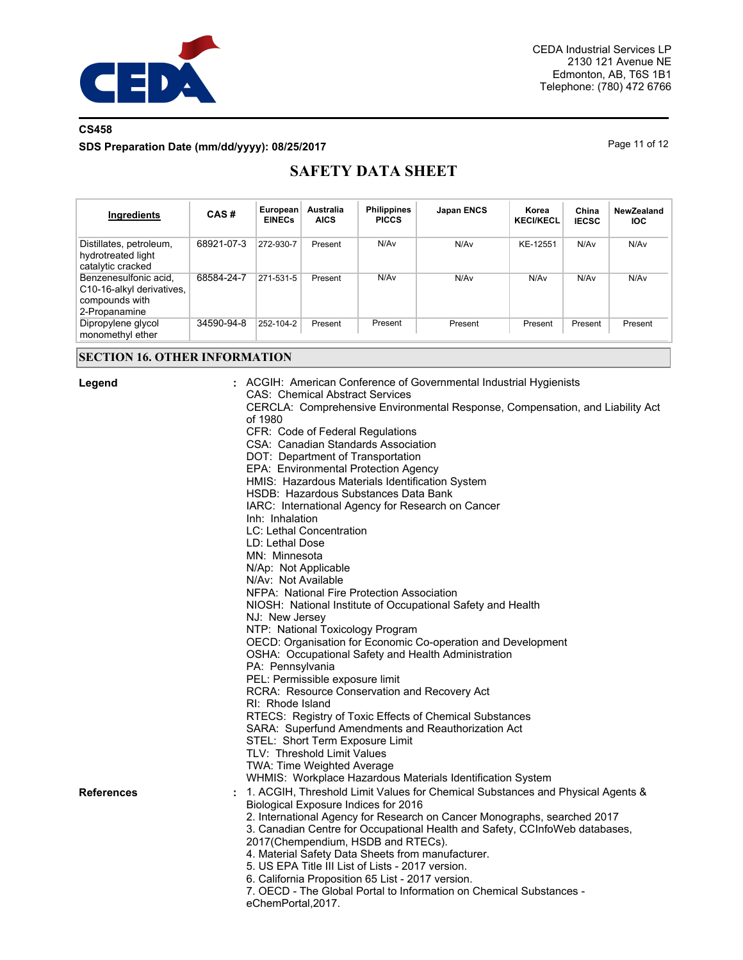

## **CS458**

**SDS Preparation Date (mm/dd/yyyy): 08/25/2017**

Page 11 of 12

# **SAFETY DATA SHEET**

| Ingredients                                                                           | CAS#       | European<br><b>EINECs</b> | Australia<br><b>AICS</b> | <b>Philippines</b><br><b>PICCS</b> | <b>Japan ENCS</b> | Korea<br><b>KECI/KECL</b> | China<br><b>IECSC</b> | NewZealand<br><b>IOC</b> |
|---------------------------------------------------------------------------------------|------------|---------------------------|--------------------------|------------------------------------|-------------------|---------------------------|-----------------------|--------------------------|
| Distillates, petroleum,<br>hydrotreated light<br>catalytic cracked                    | 68921-07-3 | 272-930-7                 | Present                  | N/Av                               | N/Av              | KE-12551                  | N/A <sub>v</sub>      | N/Av                     |
| Benzenesulfonic acid.<br>C10-16-alkyl derivatives,<br>compounds with<br>2-Propanamine | 68584-24-7 | 271-531-5                 | Present                  | N/Av                               | N/Av              | N/Av                      | N/Av                  | N/Av                     |
| Dipropylene glycol<br>monomethyl ether                                                | 34590-94-8 | 252-104-2                 | Present                  | Present                            | Present           | Present                   | Present               | Present                  |

## **SECTION 16. OTHER INFORMATION**

| Legend            | ACGIH: American Conference of Governmental Industrial Hygienists<br><b>CAS: Chemical Abstract Services</b><br>CERCLA: Comprehensive Environmental Response, Compensation, and Liability Act<br>of 1980<br>CFR: Code of Federal Regulations<br>CSA: Canadian Standards Association<br>DOT: Department of Transportation<br>EPA: Environmental Protection Agency<br>HMIS: Hazardous Materials Identification System<br>HSDB: Hazardous Substances Data Bank<br>IARC: International Agency for Research on Cancer<br>Inh: Inhalation<br>LC: Lethal Concentration<br>LD: Lethal Dose<br>MN: Minnesota<br>N/Ap: Not Applicable<br>N/Av: Not Available<br>NFPA: National Fire Protection Association<br>NIOSH: National Institute of Occupational Safety and Health<br>NJ: New Jersey<br>NTP: National Toxicology Program<br>OECD: Organisation for Economic Co-operation and Development<br>OSHA: Occupational Safety and Health Administration<br>PA: Pennsylvania<br>PEL: Permissible exposure limit<br>RCRA: Resource Conservation and Recovery Act<br>RI: Rhode Island<br>RTECS: Registry of Toxic Effects of Chemical Substances<br>SARA: Superfund Amendments and Reauthorization Act |
|-------------------|----------------------------------------------------------------------------------------------------------------------------------------------------------------------------------------------------------------------------------------------------------------------------------------------------------------------------------------------------------------------------------------------------------------------------------------------------------------------------------------------------------------------------------------------------------------------------------------------------------------------------------------------------------------------------------------------------------------------------------------------------------------------------------------------------------------------------------------------------------------------------------------------------------------------------------------------------------------------------------------------------------------------------------------------------------------------------------------------------------------------------------------------------------------------------------------|
|                   | STEL: Short Term Exposure Limit<br>TLV: Threshold Limit Values<br><b>TWA: Time Weighted Average</b><br>WHMIS: Workplace Hazardous Materials Identification System                                                                                                                                                                                                                                                                                                                                                                                                                                                                                                                                                                                                                                                                                                                                                                                                                                                                                                                                                                                                                      |
| <b>References</b> | 1. ACGIH, Threshold Limit Values for Chemical Substances and Physical Agents &<br>Biological Exposure Indices for 2016<br>2. International Agency for Research on Cancer Monographs, searched 2017<br>3. Canadian Centre for Occupational Health and Safety, CCInfoWeb databases,<br>2017(Chempendium, HSDB and RTECs).<br>4. Material Safety Data Sheets from manufacturer.<br>5. US EPA Title III List of Lists - 2017 version.<br>6. California Proposition 65 List - 2017 version.<br>7. OECD - The Global Portal to Information on Chemical Substances -<br>eChemPortal, 2017.                                                                                                                                                                                                                                                                                                                                                                                                                                                                                                                                                                                                    |